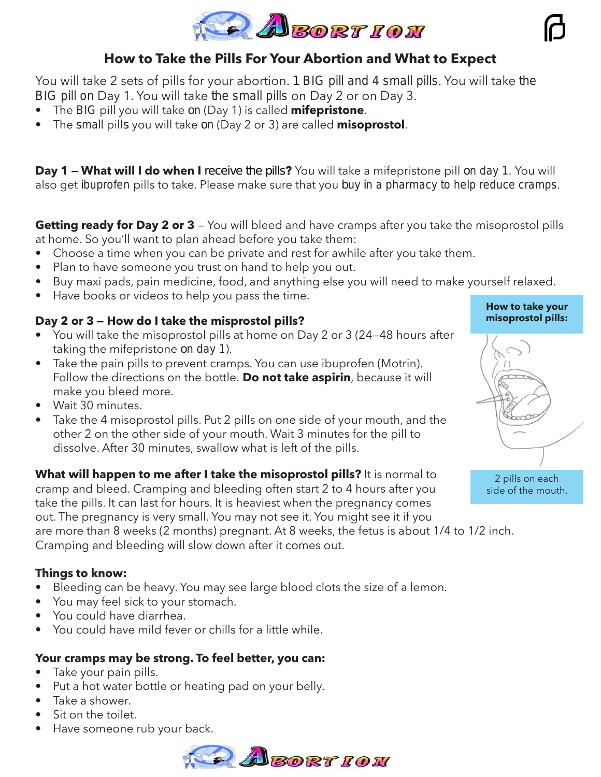

# **How to Take the Pills For Your Abortion and What to Expect**

You will take 2 sets of pills for your abortion. 1 BIG pill and 4 small pills. You will take the BIG pill on Day 1. You will take the small pills on Day 2 or on Day 3.

- The BIG pill you will take on (Day 1) is called **mifepristone**.
- The small pills you will take on (Day 2 or 3) are called **misoprostol**.

**Day 1 — What will I do when I receive the pills?** You will take a mifepristone pill on day 1. You will also get ibuprofen pills to take. Please make sure that you buy in a pharmacy to help reduce cramps.

**Getting ready for Day 2 or 3** — You will bleed and have cramps after you take the misoprostol pills at home. So you'll want to plan ahead before you take them:

- Choose a time when you can be private and rest for awhile after you take them.
- Plan to have someone you trust on hand to help you out.
- Buy maxi pads, pain medicine, food, and anything else you will need to make yourself relaxed.
- Have books or videos to help you pass the time.

## **Day 2 or 3 — How do I take the misprostol pills?**

- You will take the misoprostol pills at home on Day 2 or 3 (24—48 hours after taking the mifepristone on day 1).
- Take the pain pills to prevent cramps. You can use ibuprofen (Motrin). Follow the directions on the bottle. **Do not take aspirin**, because it will make you bleed more.
- Wait 30 minutes.
- Take the 4 misoprostol pills. Put 2 pills on one side of your mouth, and the other 2 on the other side of your mouth. Wait 3 minutes for the pill to dissolve. After 30 minutes, swallow what is left of the pills.

**What will happen to me after I take the misoprostol pills?** It is normal to cramp and bleed. Cramping and bleeding often start 2 to 4 hours after you take the pills. It can last for hours. It is heaviest when the pregnancy comes out. The pregnancy is very small. You may not see it. You might see it if you are more than 8 weeks (2 months) pregnant. At 8 weeks, the fetus is about 1/4 to 1/2 inch. Cramping and bleeding will slow down after it comes out.

## **Things to know:**

- Bleeding can be heavy. You may see large blood clots the size of a lemon.
- You may feel sick to your stomach.
- You could have diarrhea.
- You could have mild fever or chills for a little while.

# **Your cramps may be strong. To feel better, you can:**

- Take your pain pills.
- Put a hot water bottle or heating pad on your belly.
- Take a shower.
- Sit on the toilet.
- Have someone rub your back.



#### **How to take your misoprostol pills:**



side of the mouth.